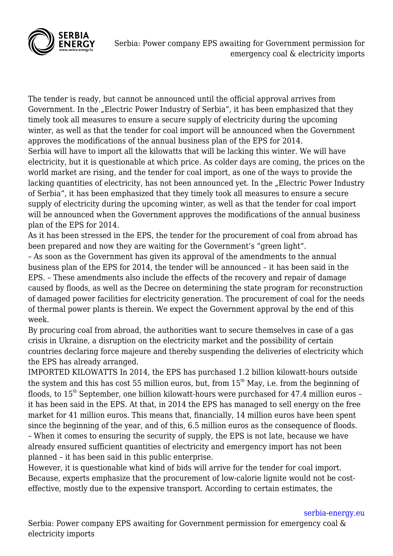

The tender is ready, but cannot be announced until the official approval arrives from Government. In the "Electric Power Industry of Serbia", it has been emphasized that they timely took all measures to ensure a secure supply of electricity during the upcoming winter, as well as that the tender for coal import will be announced when the Government approves the modifications of the annual business plan of the EPS for 2014. Serbia will have to import all the kilowatts that will be lacking this winter. We will have electricity, but it is questionable at which price. As colder days are coming, the prices on the world market are rising, and the tender for coal import, as one of the ways to provide the lacking quantities of electricity, has not been announced yet. In the "Electric Power Industry of Serbia", it has been emphasized that they timely took all measures to ensure a secure supply of electricity during the upcoming winter, as well as that the tender for coal import will be announced when the Government approves the modifications of the annual business plan of the EPS for 2014.

As it has been stressed in the EPS, the tender for the procurement of coal from abroad has been prepared and now they are waiting for the Government's "green light".

– As soon as the Government has given its approval of the amendments to the annual business plan of the EPS for 2014, the tender will be announced – it has been said in the EPS. – These amendments also include the effects of the recovery and repair of damage caused by floods, as well as the Decree on determining the state program for reconstruction of damaged power facilities for electricity generation. The procurement of coal for the needs of thermal power plants is therein. We expect the Government approval by the end of this week.

By procuring coal from abroad, the authorities want to secure themselves in case of a gas crisis in Ukraine, a disruption on the electricity market and the possibility of certain countries declaring force majeure and thereby suspending the deliveries of electricity which the EPS has already arranged.

IMPORTED KILOWATTS In 2014, the EPS has purchased 1.2 billion kilowatt-hours outside the system and this has cost 55 million euros, but, from  $15<sup>th</sup>$  May, i.e. from the beginning of floods, to  $15<sup>th</sup>$  September, one billion kilowatt-hours were purchased for 47.4 million euros – it has been said in the EPS. At that, in 2014 the EPS has managed to sell energy on the free market for 41 million euros. This means that, financially, 14 million euros have been spent since the beginning of the year, and of this, 6.5 million euros as the consequence of floods. – When it comes to ensuring the security of supply, the EPS is not late, because we have already ensured sufficient quantities of electricity and emergency import has not been planned – it has been said in this public enterprise.

However, it is questionable what kind of bids will arrive for the tender for coal import. Because, experts emphasize that the procurement of low-calorie lignite would not be costeffective, mostly due to the expensive transport. According to certain estimates, the

[serbia-energy.eu](https://serbia-energy.eu/)

Serbia: Power company EPS awaiting for Government permission for emergency coal & electricity imports